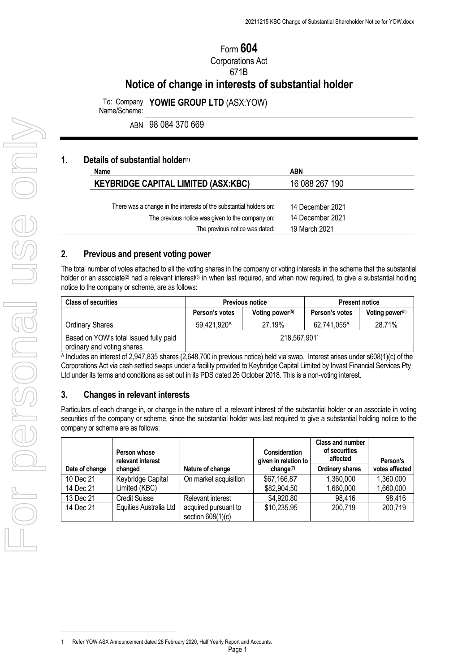# Form **604** Corporations Act 671B

# **Notice of change in interests of substantial holder**

To: Company **YOWIE GROUP LTD** (ASX[:YOW](https://www.asx.com.au/asx/share-price-research/company/YOW)) Name/Scheme:

ABN 98 084 370 669

#### **1. Details of substantial holder(1)**

| Name                                                               | <b>ABN</b>       |
|--------------------------------------------------------------------|------------------|
| <b>KEYBRIDGE CAPITAL LIMITED (ASX:KBC)</b>                         | 16 088 267 190   |
|                                                                    |                  |
| There was a change in the interests of the substantial holders on: | 14 December 2021 |
| The previous notice was given to the company on:                   | 14 December 2021 |
| The previous notice was dated:                                     | 19 March 2021    |

#### **2. Previous and present voting power**

The total number of votes attached to all the voting shares in the company or voting interests in the scheme that the substantial holder or an associate<sup>(2)</sup> had a relevant interest<sup>(3)</sup> in when last required, and when now required, to give a substantial holding notice to the company or scheme, are as follows:

| <b>Class of securities</b>                                           | <b>Previous notice</b> |                    | <b>Present notice</b> |                    |
|----------------------------------------------------------------------|------------------------|--------------------|-----------------------|--------------------|
|                                                                      | Person's votes         | Voting power $(5)$ | Person's votes        | Voting power $(5)$ |
| <b>Ordinary Shares</b>                                               | 59.421.920^            | 27.19%             | 62.741.055^           | 28.71%             |
| Based on YOW's total issued fully paid<br>ordinary and voting shares | 218,567,9011           |                    |                       |                    |

 $\overline{\wedge}$  Includes an interest of 2,947,835 shares (2,648,700 in previous notice) held via swap. Interest arises under s608(1)(c) of the Corporations Act via cash settled swaps under a facility provided to Keybridge Capital Limited by Invast Financial Services Pty Ltd under its terms and conditions as set out in its PDS dated 26 October 2018. This is a non-voting interest.

#### **3. Changes in relevant interests**

Particulars of each change in, or change in the nature of, a relevant interest of the substantial holder or an associate in voting securities of the company or scheme, since the substantial holder was last required to give a substantial holding notice to the company or scheme are as follows:

| Date of change | Person whose<br>relevant interest<br>changed | Nature of change                            | <b>Consideration</b><br>given in relation to [<br>change <sup>(7)</sup> | Class and number<br>of securities<br>affected<br><b>Ordinary shares</b> | Person's<br>votes affected |
|----------------|----------------------------------------------|---------------------------------------------|-------------------------------------------------------------------------|-------------------------------------------------------------------------|----------------------------|
| 10 Dec 21      | Keybridge Capital                            | On market acquisition                       | \$67,166.87                                                             | 1,360,000                                                               | 1,360,000                  |
| 14 Dec 21      | Limited (KBC)                                |                                             | \$82,904.50                                                             | 1,660,000                                                               | 1,660,000                  |
| 13 Dec 21      | <b>Credit Suisse</b>                         | Relevant interest                           | \$4,920.80                                                              | 98,416                                                                  | 98,416                     |
| 14 Dec 21      | Equities Australia Ltd                       | acquired pursuant to<br>section $608(1)(c)$ | \$10,235.95                                                             | 200,719                                                                 | 200,719                    |